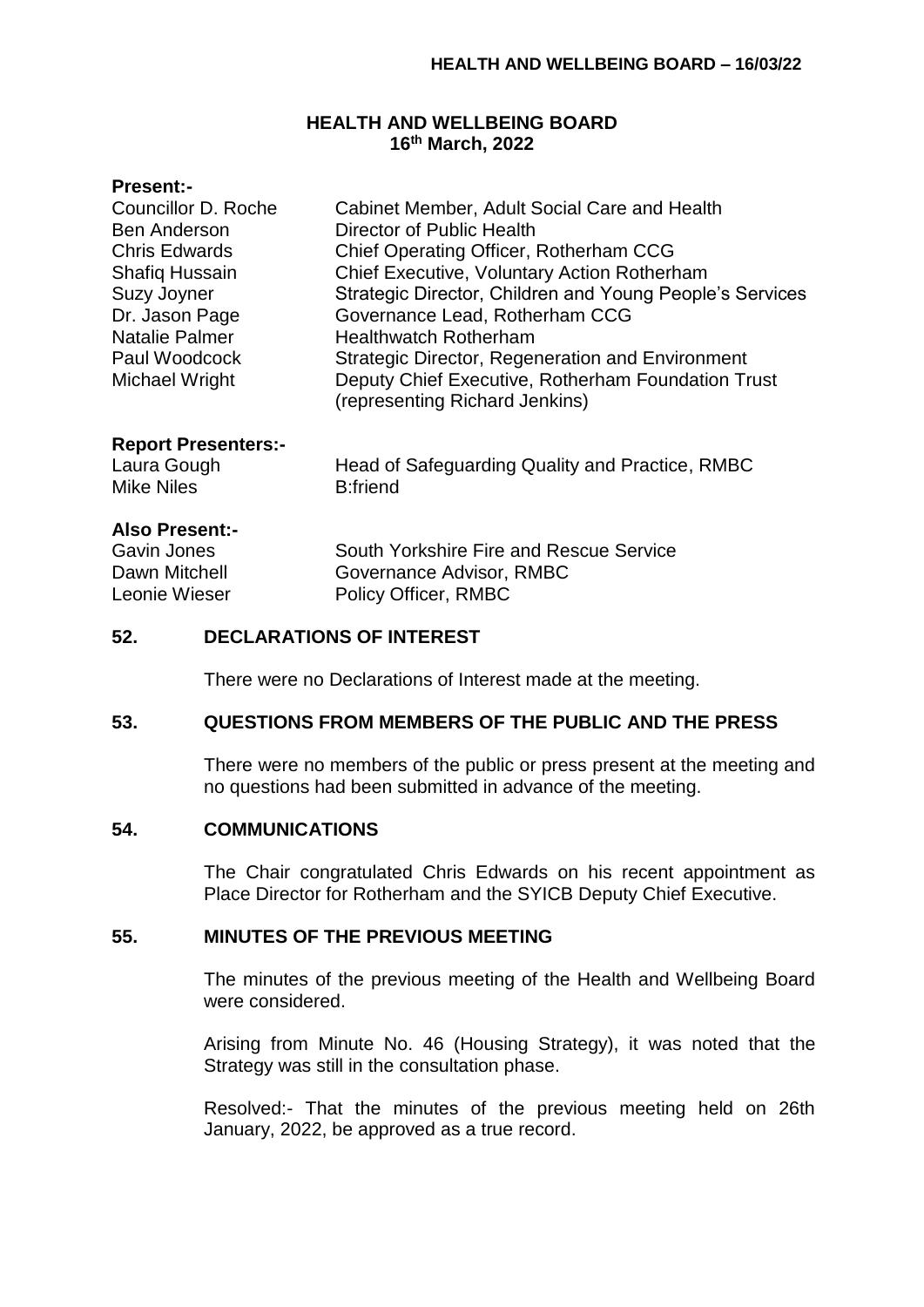### **HEALTH AND WELLBEING BOARD 16th March, 2022**

### **Present:-**

| <b>Councillor D. Roche</b> | Cabinet Member, Adult Social Care and Health                                         |
|----------------------------|--------------------------------------------------------------------------------------|
| <b>Ben Anderson</b>        | Director of Public Health                                                            |
| <b>Chris Edwards</b>       | Chief Operating Officer, Rotherham CCG                                               |
| <b>Shafiq Hussain</b>      | Chief Executive, Voluntary Action Rotherham                                          |
| <b>Suzy Joyner</b>         | Strategic Director, Children and Young People's Services                             |
| Dr. Jason Page             | Governance Lead, Rotherham CCG                                                       |
| Natalie Palmer             | <b>Healthwatch Rotherham</b>                                                         |
| Paul Woodcock              | <b>Strategic Director, Regeneration and Environment</b>                              |
| Michael Wright             | Deputy Chief Executive, Rotherham Foundation Trust<br>(representing Richard Jenkins) |

#### **Report Presenters:-**

| Head of Safeguarding Quality and Practice, RMBC |
|-------------------------------------------------|
| B:friend                                        |

#### **Also Present:-**

Laura Gough Mike Niles

Dawn Mitchell Governance Advisor, RMBC Leonie Wieser Policy Officer, RMBC

Gavin Jones South Yorkshire Fire and Rescue Service

### **52. DECLARATIONS OF INTEREST**

There were no Declarations of Interest made at the meeting.

### **53. QUESTIONS FROM MEMBERS OF THE PUBLIC AND THE PRESS**

There were no members of the public or press present at the meeting and no questions had been submitted in advance of the meeting.

### **54. COMMUNICATIONS**

The Chair congratulated Chris Edwards on his recent appointment as Place Director for Rotherham and the SYICB Deputy Chief Executive.

### **55. MINUTES OF THE PREVIOUS MEETING**

The minutes of the previous meeting of the Health and Wellbeing Board were considered.

Arising from Minute No. 46 (Housing Strategy), it was noted that the Strategy was still in the consultation phase.

Resolved:- That the minutes of the previous meeting held on 26th January, 2022, be approved as a true record.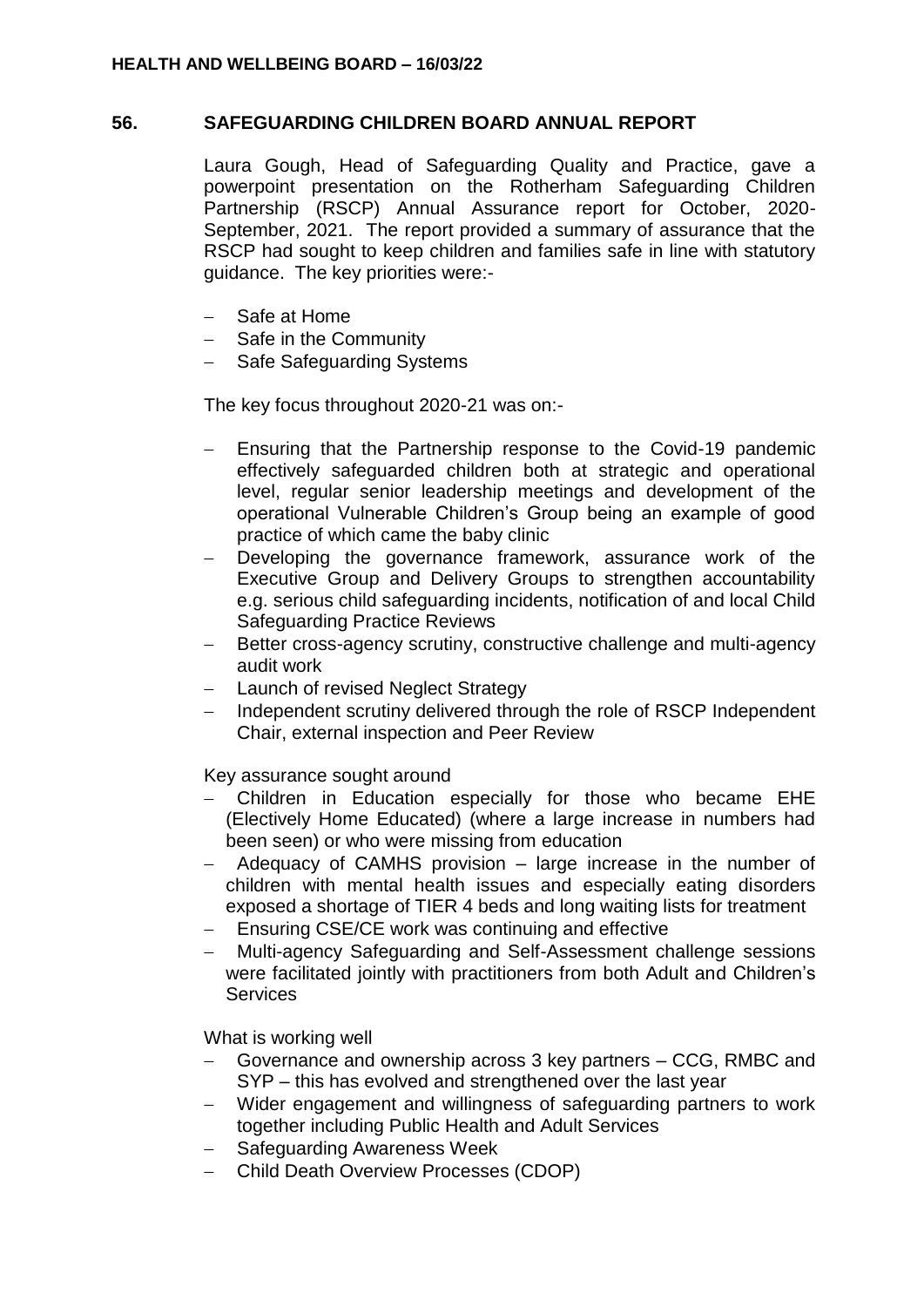### **56. SAFEGUARDING CHILDREN BOARD ANNUAL REPORT**

Laura Gough, Head of Safeguarding Quality and Practice, gave a powerpoint presentation on the Rotherham Safeguarding Children Partnership (RSCP) Annual Assurance report for October, 2020- September, 2021. The report provided a summary of assurance that the RSCP had sought to keep children and families safe in line with statutory guidance. The key priorities were:-

- Safe at Home
- Safe in the Community
- Safe Safeguarding Systems

The key focus throughout 2020-21 was on:-

- Ensuring that the Partnership response to the Covid-19 pandemic effectively safeguarded children both at strategic and operational level, regular senior leadership meetings and development of the operational Vulnerable Children's Group being an example of good practice of which came the baby clinic
- Developing the governance framework, assurance work of the Executive Group and Delivery Groups to strengthen accountability e.g. serious child safeguarding incidents, notification of and local Child Safeguarding Practice Reviews
- Better cross-agency scrutiny, constructive challenge and multi-agency audit work
- Launch of revised Neglect Strategy
- Independent scrutiny delivered through the role of RSCP Independent Chair, external inspection and Peer Review

Key assurance sought around

- Children in Education especially for those who became EHE (Electively Home Educated) (where a large increase in numbers had been seen) or who were missing from education
- Adequacy of CAMHS provision large increase in the number of children with mental health issues and especially eating disorders exposed a shortage of TIER 4 beds and long waiting lists for treatment
- Ensuring CSE/CE work was continuing and effective
- Multi-agency Safeguarding and Self-Assessment challenge sessions were facilitated jointly with practitioners from both Adult and Children's **Services**

What is working well

- Governance and ownership across 3 key partners CCG, RMBC and SYP – this has evolved and strengthened over the last year
- Wider engagement and willingness of safeguarding partners to work together including Public Health and Adult Services
- Safeguarding Awareness Week
- Child Death Overview Processes (CDOP)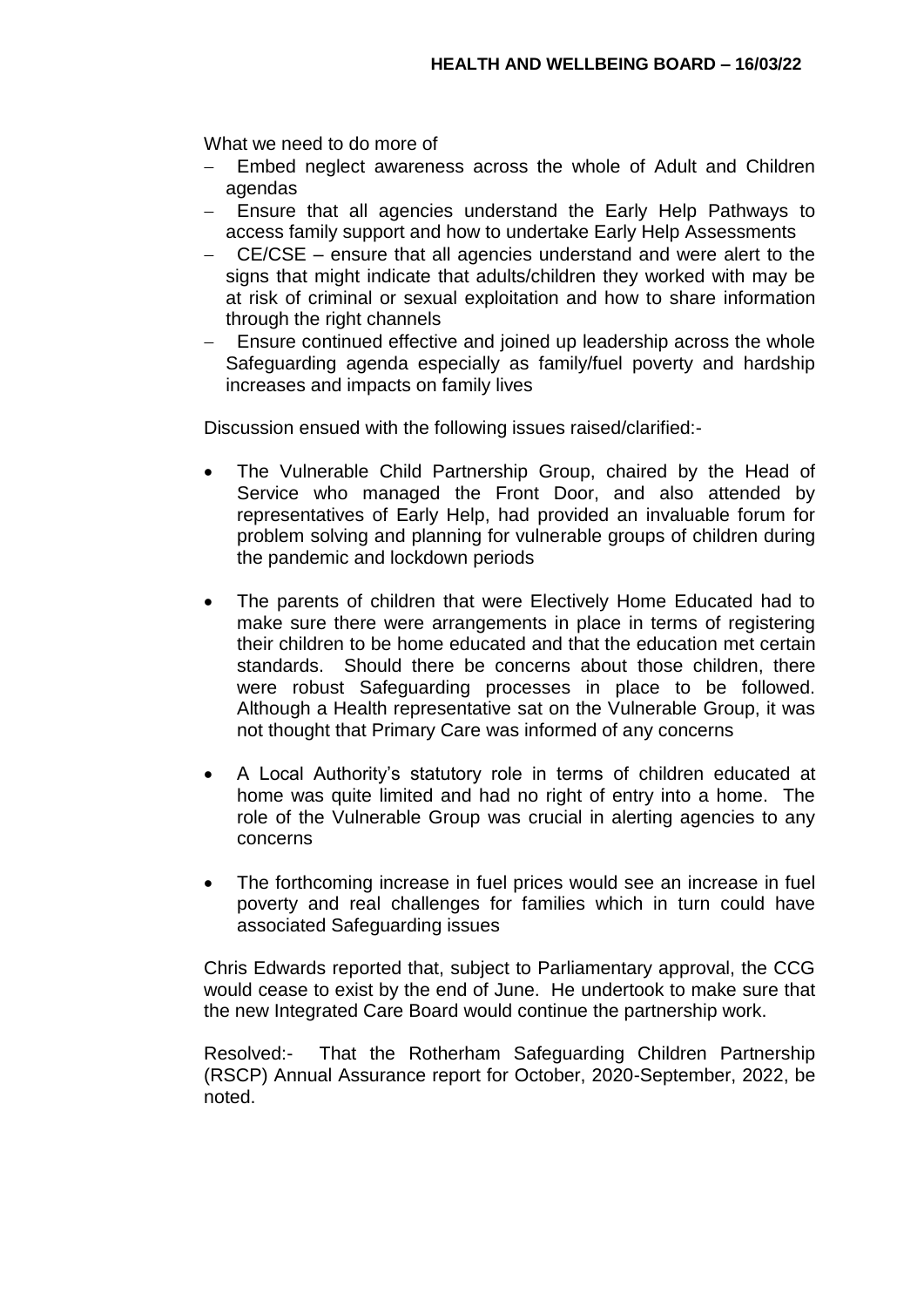What we need to do more of

- Embed neglect awareness across the whole of Adult and Children agendas
- Ensure that all agencies understand the Early Help Pathways to access family support and how to undertake Early Help Assessments
- CE/CSE ensure that all agencies understand and were alert to the signs that might indicate that adults/children they worked with may be at risk of criminal or sexual exploitation and how to share information through the right channels
- Ensure continued effective and joined up leadership across the whole Safeguarding agenda especially as family/fuel poverty and hardship increases and impacts on family lives

Discussion ensued with the following issues raised/clarified:-

- The Vulnerable Child Partnership Group, chaired by the Head of Service who managed the Front Door, and also attended by representatives of Early Help, had provided an invaluable forum for problem solving and planning for vulnerable groups of children during the pandemic and lockdown periods
- The parents of children that were Electively Home Educated had to make sure there were arrangements in place in terms of registering their children to be home educated and that the education met certain standards. Should there be concerns about those children, there were robust Safeguarding processes in place to be followed. Although a Health representative sat on the Vulnerable Group, it was not thought that Primary Care was informed of any concerns
- A Local Authority's statutory role in terms of children educated at home was quite limited and had no right of entry into a home. The role of the Vulnerable Group was crucial in alerting agencies to any concerns
- The forthcoming increase in fuel prices would see an increase in fuel poverty and real challenges for families which in turn could have associated Safeguarding issues

Chris Edwards reported that, subject to Parliamentary approval, the CCG would cease to exist by the end of June. He undertook to make sure that the new Integrated Care Board would continue the partnership work.

Resolved:- That the Rotherham Safeguarding Children Partnership (RSCP) Annual Assurance report for October, 2020-September, 2022, be noted.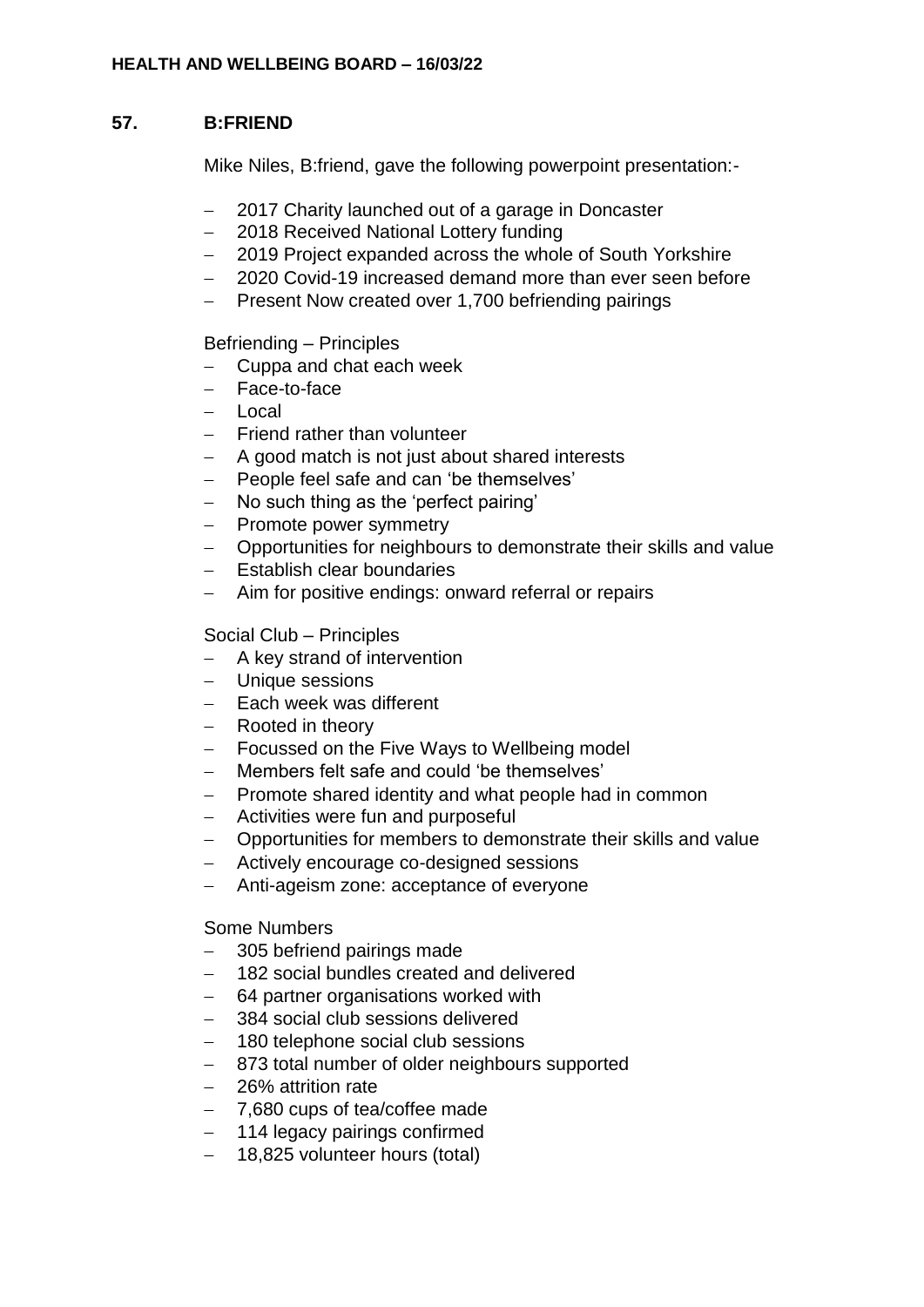### **HEALTH AND WELLBEING BOARD – 16/03/22**

# **57. B:FRIEND**

Mike Niles, B:friend, gave the following powerpoint presentation:-

- 2017 Charity launched out of a garage in Doncaster
- 2018 Received National Lottery funding
- 2019 Project expanded across the whole of South Yorkshire
- 2020 Covid-19 increased demand more than ever seen before
- Present Now created over 1,700 befriending pairings

# Befriending – Principles

- Cuppa and chat each week
- Face-to-face
- Local
- Friend rather than volunteer
- A good match is not just about shared interests
- People feel safe and can 'be themselves'
- No such thing as the 'perfect pairing'
- Promote power symmetry
- Opportunities for neighbours to demonstrate their skills and value
- Establish clear boundaries
- Aim for positive endings: onward referral or repairs

# Social Club – Principles

- A key strand of intervention
- Unique sessions
- Each week was different
- Rooted in theory
- Focussed on the Five Ways to Wellbeing model
- Members felt safe and could 'be themselves'
- Promote shared identity and what people had in common
- Activities were fun and purposeful
- Opportunities for members to demonstrate their skills and value
- Actively encourage co-designed sessions
- Anti-ageism zone: acceptance of everyone

# Some Numbers

- 305 befriend pairings made
- 182 social bundles created and delivered
- 64 partner organisations worked with
- 384 social club sessions delivered
- 180 telephone social club sessions
- 873 total number of older neighbours supported
- 26% attrition rate
- 7,680 cups of tea/coffee made
- 114 legacy pairings confirmed
- 18,825 volunteer hours (total)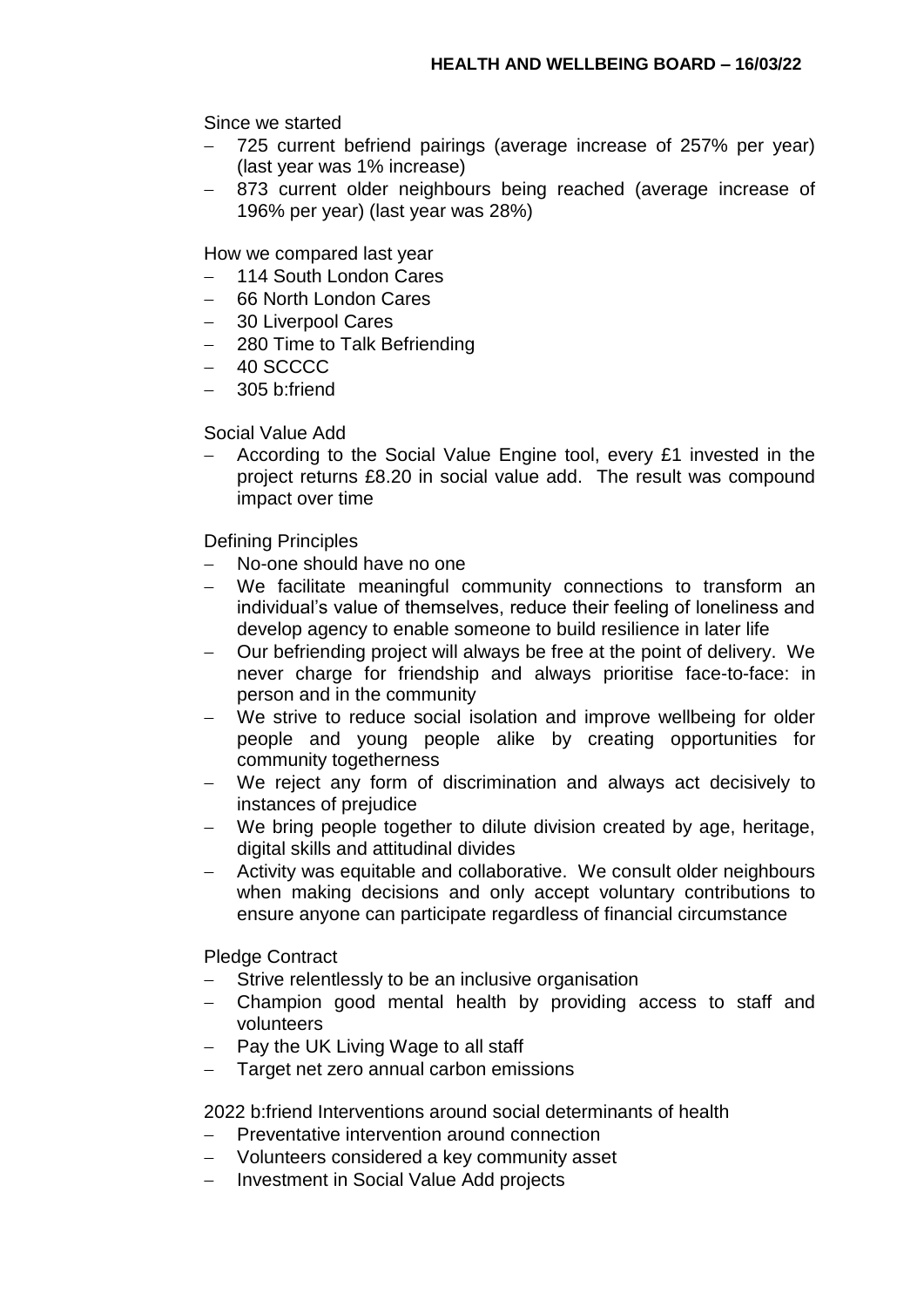Since we started

- 725 current befriend pairings (average increase of 257% per year) (last year was 1% increase)
- 873 current older neighbours being reached (average increase of 196% per year) (last year was 28%)

How we compared last year

- 114 South London Cares
- 66 North London Cares
- 30 Liverpool Cares
- 280 Time to Talk Befriending
- 40 SCCCC
- 305 b:friend

Social Value Add

 According to the Social Value Engine tool, every £1 invested in the project returns £8.20 in social value add. The result was compound impact over time

Defining Principles

- No-one should have no one
- We facilitate meaningful community connections to transform an individual's value of themselves, reduce their feeling of loneliness and develop agency to enable someone to build resilience in later life
- Our befriending project will always be free at the point of delivery. We never charge for friendship and always prioritise face-to-face: in person and in the community
- We strive to reduce social isolation and improve wellbeing for older people and young people alike by creating opportunities for community togetherness
- We reject any form of discrimination and always act decisively to instances of prejudice
- We bring people together to dilute division created by age, heritage, digital skills and attitudinal divides
- Activity was equitable and collaborative. We consult older neighbours when making decisions and only accept voluntary contributions to ensure anyone can participate regardless of financial circumstance

Pledge Contract

- Strive relentlessly to be an inclusive organisation
- Champion good mental health by providing access to staff and volunteers
- Pay the UK Living Wage to all staff
- Target net zero annual carbon emissions

2022 b:friend Interventions around social determinants of health

- Preventative intervention around connection
- Volunteers considered a key community asset
- Investment in Social Value Add projects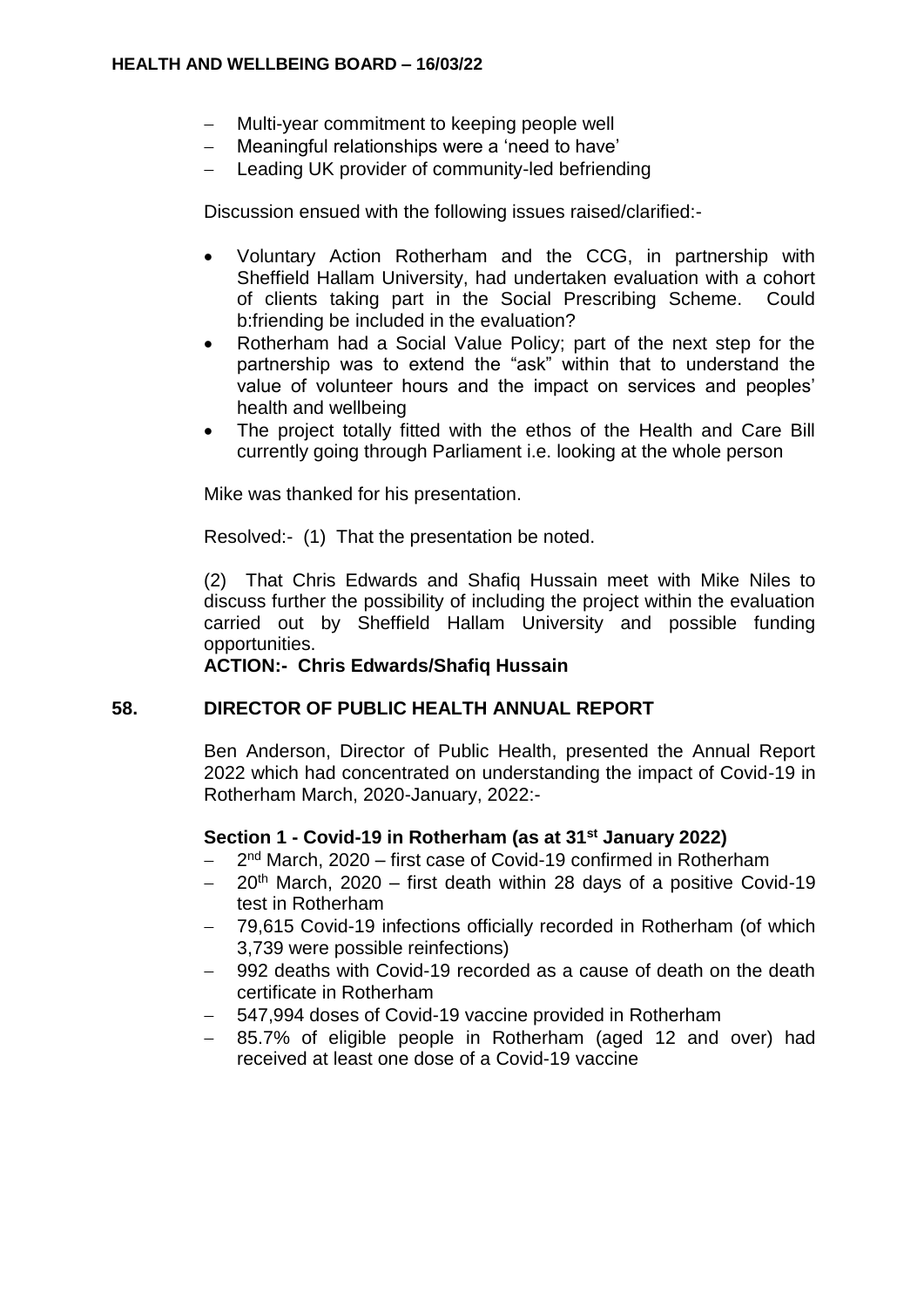- Multi-year commitment to keeping people well
- Meaningful relationships were a 'need to have'
- Leading UK provider of community-led befriending

Discussion ensued with the following issues raised/clarified:-

- Voluntary Action Rotherham and the CCG, in partnership with Sheffield Hallam University, had undertaken evaluation with a cohort of clients taking part in the Social Prescribing Scheme. Could b:friending be included in the evaluation?
- Rotherham had a Social Value Policy; part of the next step for the partnership was to extend the "ask" within that to understand the value of volunteer hours and the impact on services and peoples' health and wellbeing
- The project totally fitted with the ethos of the Health and Care Bill currently going through Parliament i.e. looking at the whole person

Mike was thanked for his presentation.

Resolved:- (1) That the presentation be noted.

(2) That Chris Edwards and Shafiq Hussain meet with Mike Niles to discuss further the possibility of including the project within the evaluation carried out by Sheffield Hallam University and possible funding opportunities.

**ACTION:- Chris Edwards/Shafiq Hussain**

### **58. DIRECTOR OF PUBLIC HEALTH ANNUAL REPORT**

Ben Anderson, Director of Public Health, presented the Annual Report 2022 which had concentrated on understanding the impact of Covid-19 in Rotherham March, 2020-January, 2022:-

### **Section 1 - Covid-19 in Rotherham (as at 31st January 2022)**

- 2<sup>nd</sup> March, 2020 first case of Covid-19 confirmed in Rotherham
- $20<sup>th</sup>$  March, 2020 first death within 28 days of a positive Covid-19 test in Rotherham
- 79,615 Covid-19 infections officially recorded in Rotherham (of which 3,739 were possible reinfections)
- 992 deaths with Covid-19 recorded as a cause of death on the death certificate in Rotherham
- 547,994 doses of Covid-19 vaccine provided in Rotherham
- 85.7% of eligible people in Rotherham (aged 12 and over) had received at least one dose of a Covid-19 vaccine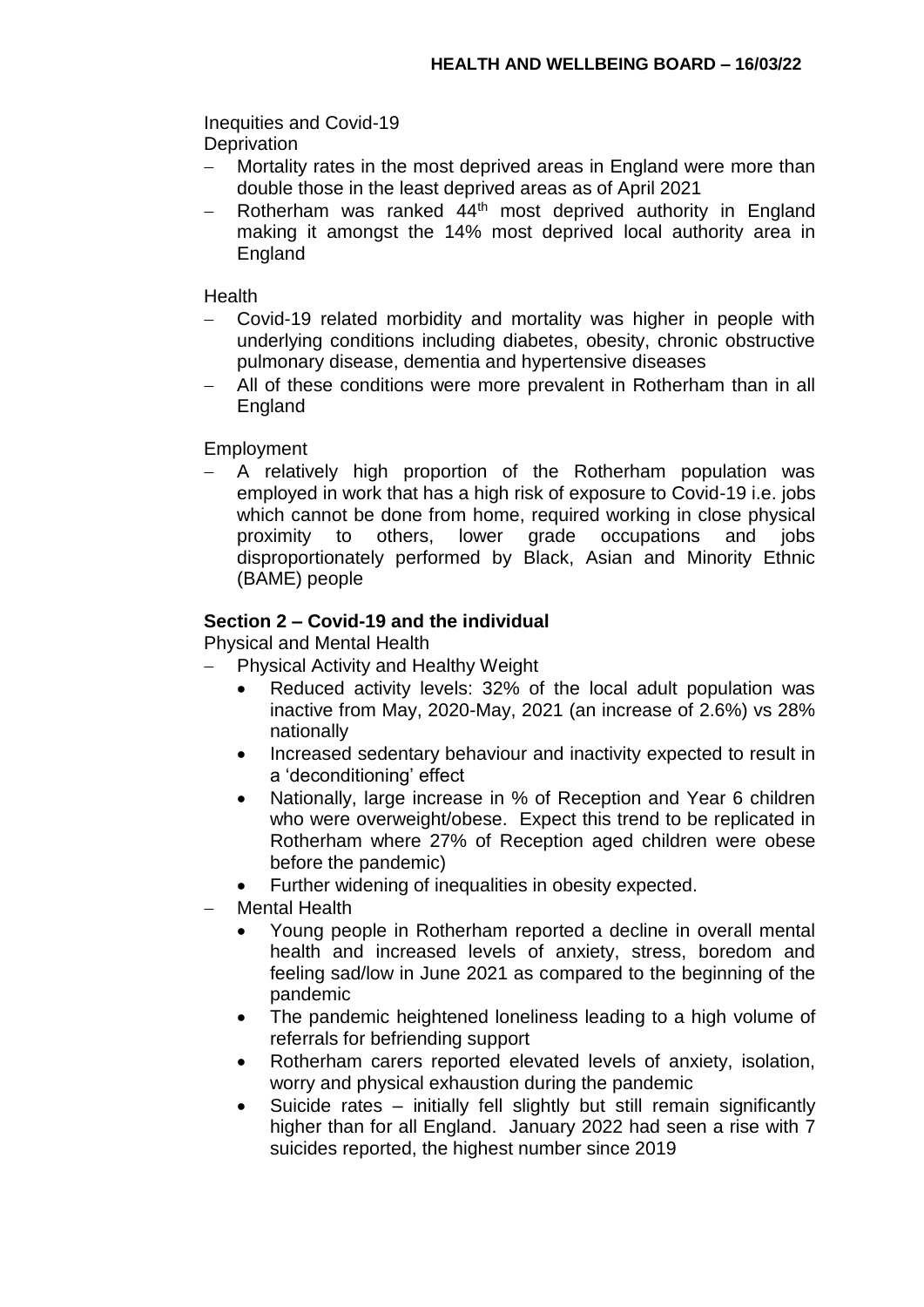Inequities and Covid-19 **Deprivation** 

- Mortality rates in the most deprived areas in England were more than double those in the least deprived areas as of April 2021
- Rotherham was ranked 44<sup>th</sup> most deprived authority in England making it amongst the 14% most deprived local authority area in **England**

**Health** 

- Covid-19 related morbidity and mortality was higher in people with underlying conditions including diabetes, obesity, chronic obstructive pulmonary disease, dementia and hypertensive diseases
- All of these conditions were more prevalent in Rotherham than in all England

Employment

 A relatively high proportion of the Rotherham population was employed in work that has a high risk of exposure to Covid-19 i.e. jobs which cannot be done from home, required working in close physical proximity to others, lower grade occupations and jobs disproportionately performed by Black, Asian and Minority Ethnic (BAME) people

# **Section 2 – Covid-19 and the individual**

Physical and Mental Health

- Physical Activity and Healthy Weight
	- Reduced activity levels: 32% of the local adult population was inactive from May, 2020-May, 2021 (an increase of 2.6%) vs 28% nationally
	- Increased sedentary behaviour and inactivity expected to result in a 'deconditioning' effect
	- Nationally, large increase in % of Reception and Year 6 children who were overweight/obese. Expect this trend to be replicated in Rotherham where 27% of Reception aged children were obese before the pandemic)
	- Further widening of inequalities in obesity expected.
- Mental Health
	- Young people in Rotherham reported a decline in overall mental health and increased levels of anxiety, stress, boredom and feeling sad/low in June 2021 as compared to the beginning of the pandemic
	- The pandemic heightened loneliness leading to a high volume of referrals for befriending support
	- Rotherham carers reported elevated levels of anxiety, isolation, worry and physical exhaustion during the pandemic
	- Suicide rates initially fell slightly but still remain significantly higher than for all England. January 2022 had seen a rise with 7 suicides reported, the highest number since 2019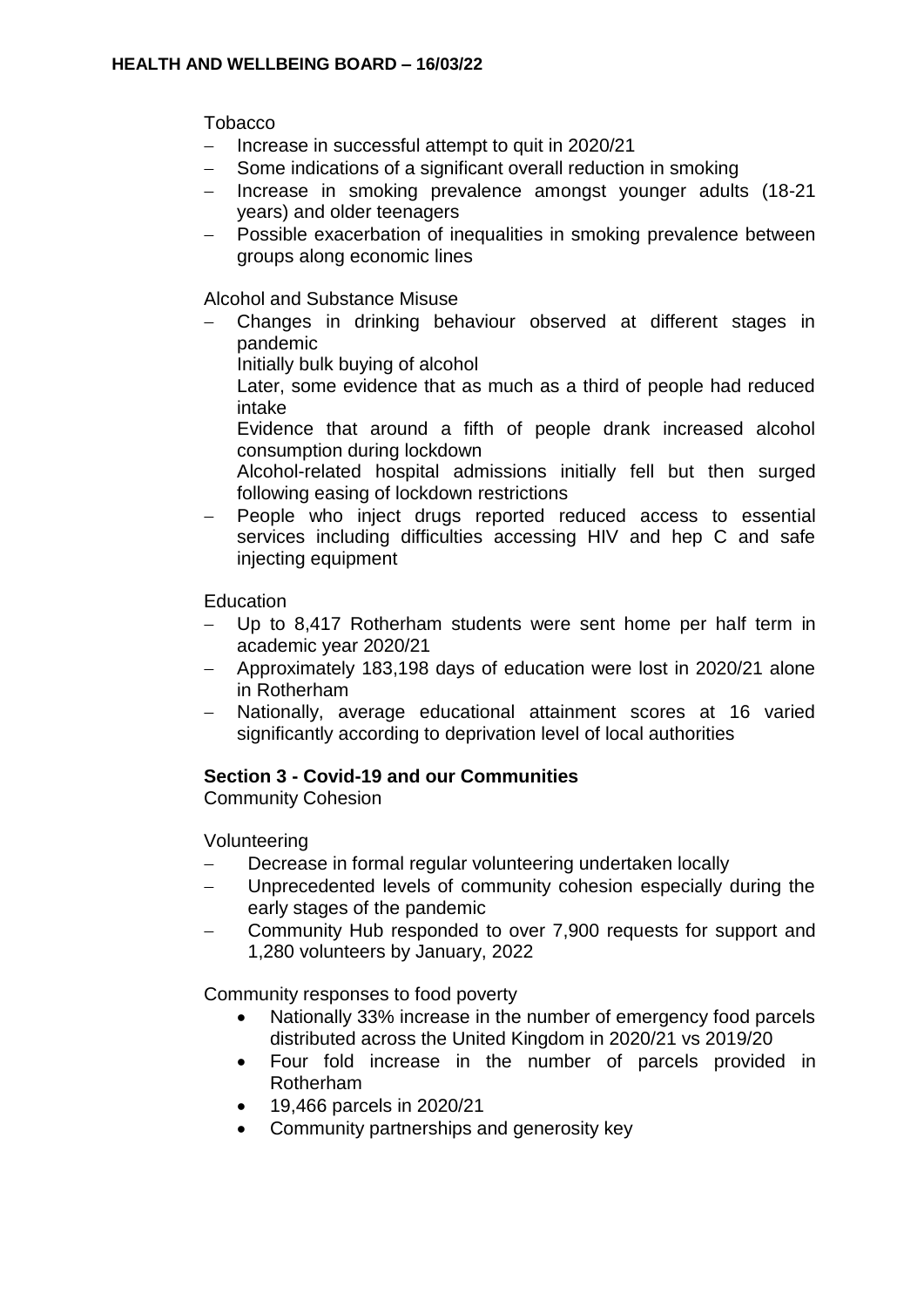Tobacco

- Increase in successful attempt to quit in 2020/21
- Some indications of a significant overall reduction in smoking
- Increase in smoking prevalence amongst younger adults (18-21 years) and older teenagers
- Possible exacerbation of inequalities in smoking prevalence between groups along economic lines

Alcohol and Substance Misuse

- Changes in drinking behaviour observed at different stages in pandemic
	- Initially bulk buying of alcohol

Later, some evidence that as much as a third of people had reduced intake

- Evidence that around a fifth of people drank increased alcohol consumption during lockdown
- Alcohol-related hospital admissions initially fell but then surged following easing of lockdown restrictions
- People who inject drugs reported reduced access to essential services including difficulties accessing HIV and hep C and safe injecting equipment

**Education** 

- Up to 8,417 Rotherham students were sent home per half term in academic year 2020/21
- Approximately 183,198 days of education were lost in 2020/21 alone in Rotherham
- Nationally, average educational attainment scores at 16 varied significantly according to deprivation level of local authorities

# **Section 3 - Covid-19 and our Communities**

Community Cohesion

Volunteering

- Decrease in formal regular volunteering undertaken locally
- Unprecedented levels of community cohesion especially during the early stages of the pandemic
- Community Hub responded to over 7,900 requests for support and 1,280 volunteers by January, 2022

Community responses to food poverty

- Nationally 33% increase in the number of emergency food parcels distributed across the United Kingdom in 2020/21 vs 2019/20
- Four fold increase in the number of parcels provided in Rotherham
- 19,466 parcels in 2020/21
- Community partnerships and generosity key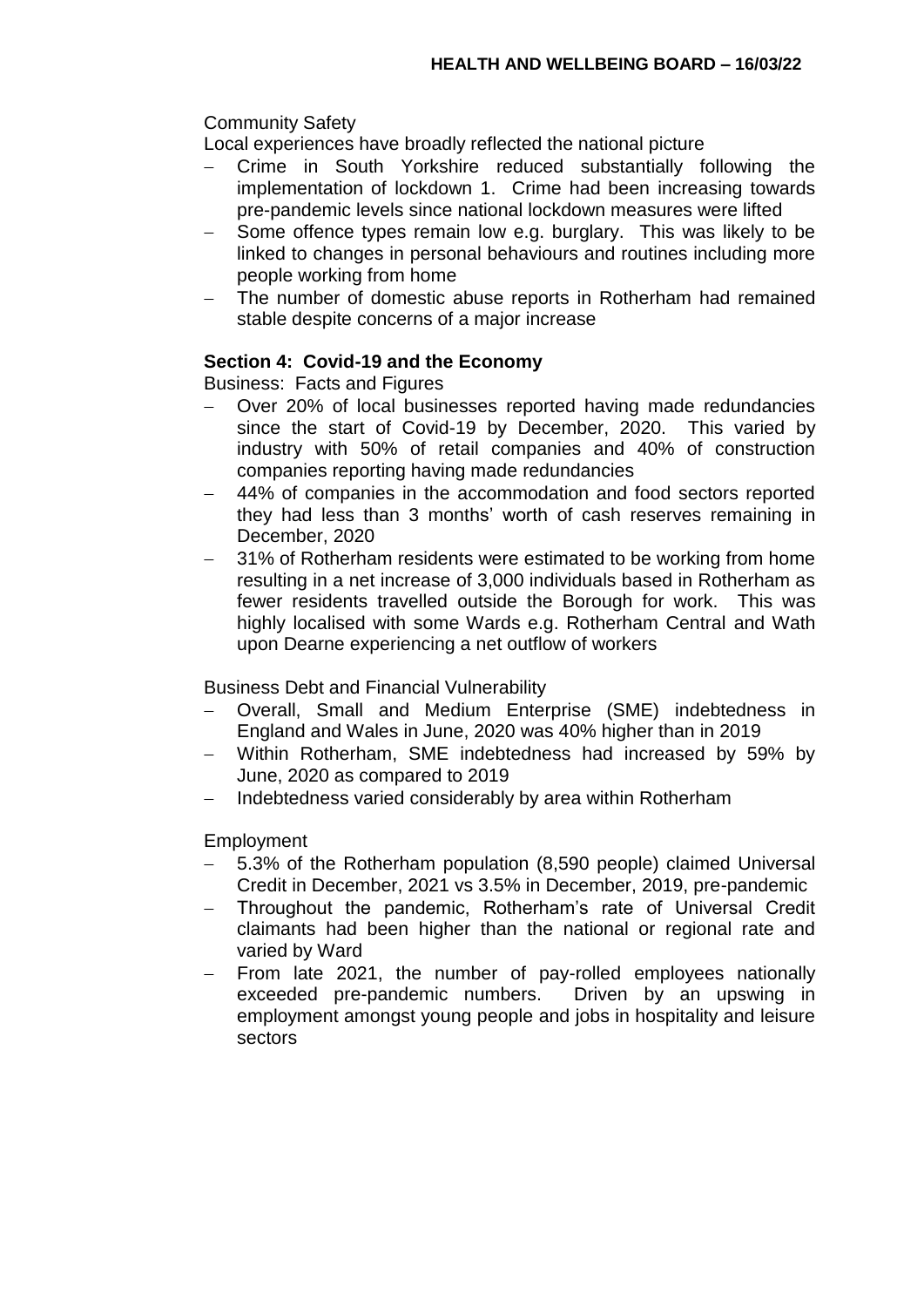# Community Safety

Local experiences have broadly reflected the national picture

- Crime in South Yorkshire reduced substantially following the implementation of lockdown 1. Crime had been increasing towards pre-pandemic levels since national lockdown measures were lifted
- Some offence types remain low e.g. burglary. This was likely to be linked to changes in personal behaviours and routines including more people working from home
- The number of domestic abuse reports in Rotherham had remained stable despite concerns of a major increase

# **Section 4: Covid-19 and the Economy**

Business: Facts and Figures

- Over 20% of local businesses reported having made redundancies since the start of Covid-19 by December, 2020. This varied by industry with 50% of retail companies and 40% of construction companies reporting having made redundancies
- 44% of companies in the accommodation and food sectors reported they had less than 3 months' worth of cash reserves remaining in December, 2020
- 31% of Rotherham residents were estimated to be working from home resulting in a net increase of 3,000 individuals based in Rotherham as fewer residents travelled outside the Borough for work. This was highly localised with some Wards e.g. Rotherham Central and Wath upon Dearne experiencing a net outflow of workers

Business Debt and Financial Vulnerability

- Overall, Small and Medium Enterprise (SME) indebtedness in England and Wales in June, 2020 was 40% higher than in 2019
- Within Rotherham, SME indebtedness had increased by 59% by June, 2020 as compared to 2019
- Indebtedness varied considerably by area within Rotherham

### Employment

- 5.3% of the Rotherham population (8,590 people) claimed Universal Credit in December, 2021 vs 3.5% in December, 2019, pre-pandemic
- Throughout the pandemic, Rotherham's rate of Universal Credit claimants had been higher than the national or regional rate and varied by Ward
- From late 2021, the number of pay-rolled employees nationally exceeded pre-pandemic numbers. Driven by an upswing in employment amongst young people and jobs in hospitality and leisure sectors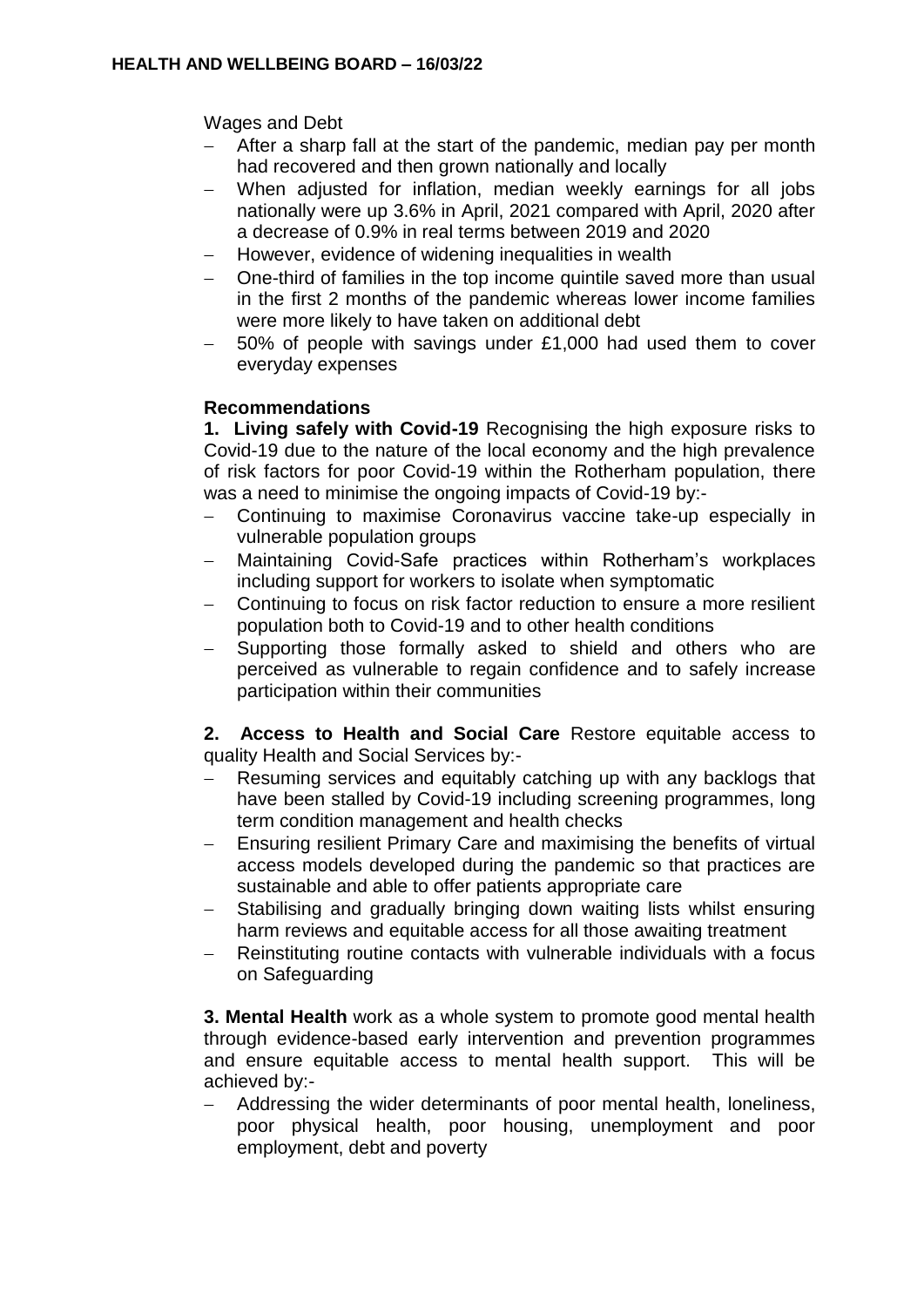Wages and Debt

- After a sharp fall at the start of the pandemic, median pay per month had recovered and then grown nationally and locally
- When adjusted for inflation, median weekly earnings for all jobs nationally were up 3.6% in April, 2021 compared with April, 2020 after a decrease of 0.9% in real terms between 2019 and 2020
- However, evidence of widening inequalities in wealth
- One-third of families in the top income quintile saved more than usual in the first 2 months of the pandemic whereas lower income families were more likely to have taken on additional debt
- 50% of people with savings under £1,000 had used them to cover everyday expenses

# **Recommendations**

**1. Living safely with Covid-19** Recognising the high exposure risks to Covid-19 due to the nature of the local economy and the high prevalence of risk factors for poor Covid-19 within the Rotherham population, there was a need to minimise the ongoing impacts of Covid-19 by:-

- Continuing to maximise Coronavirus vaccine take-up especially in vulnerable population groups
- Maintaining Covid-Safe practices within Rotherham's workplaces including support for workers to isolate when symptomatic
- Continuing to focus on risk factor reduction to ensure a more resilient population both to Covid-19 and to other health conditions
- Supporting those formally asked to shield and others who are perceived as vulnerable to regain confidence and to safely increase participation within their communities

**2. Access to Health and Social Care** Restore equitable access to quality Health and Social Services by:-

- Resuming services and equitably catching up with any backlogs that have been stalled by Covid-19 including screening programmes, long term condition management and health checks
- Ensuring resilient Primary Care and maximising the benefits of virtual access models developed during the pandemic so that practices are sustainable and able to offer patients appropriate care
- Stabilising and gradually bringing down waiting lists whilst ensuring harm reviews and equitable access for all those awaiting treatment
- Reinstituting routine contacts with vulnerable individuals with a focus on Safeguarding

**3. Mental Health** work as a whole system to promote good mental health through evidence-based early intervention and prevention programmes and ensure equitable access to mental health support. This will be achieved by:-

 Addressing the wider determinants of poor mental health, loneliness, poor physical health, poor housing, unemployment and poor employment, debt and poverty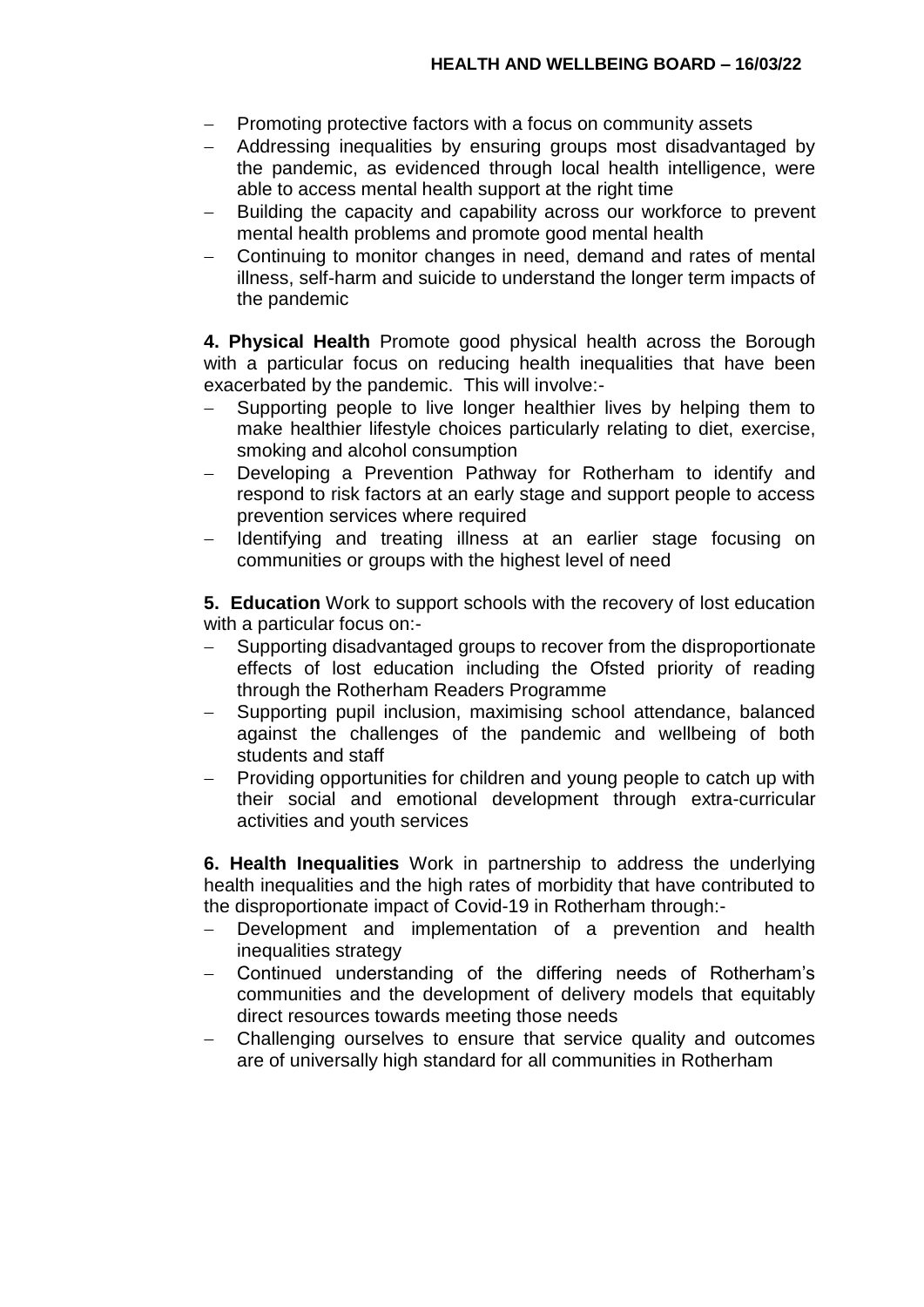- Promoting protective factors with a focus on community assets
- Addressing inequalities by ensuring groups most disadvantaged by the pandemic, as evidenced through local health intelligence, were able to access mental health support at the right time
- Building the capacity and capability across our workforce to prevent mental health problems and promote good mental health
- Continuing to monitor changes in need, demand and rates of mental illness, self-harm and suicide to understand the longer term impacts of the pandemic

**4. Physical Health** Promote good physical health across the Borough with a particular focus on reducing health inequalities that have been exacerbated by the pandemic. This will involve:-

- Supporting people to live longer healthier lives by helping them to make healthier lifestyle choices particularly relating to diet, exercise, smoking and alcohol consumption
- Developing a Prevention Pathway for Rotherham to identify and respond to risk factors at an early stage and support people to access prevention services where required
- Identifying and treating illness at an earlier stage focusing on communities or groups with the highest level of need

**5. Education** Work to support schools with the recovery of lost education with a particular focus on:-

- Supporting disadvantaged groups to recover from the disproportionate effects of lost education including the Ofsted priority of reading through the Rotherham Readers Programme
- Supporting pupil inclusion, maximising school attendance, balanced against the challenges of the pandemic and wellbeing of both students and staff
- Providing opportunities for children and young people to catch up with their social and emotional development through extra-curricular activities and youth services

**6. Health Inequalities** Work in partnership to address the underlying health inequalities and the high rates of morbidity that have contributed to the disproportionate impact of Covid-19 in Rotherham through:-

- Development and implementation of a prevention and health inequalities strategy
- Continued understanding of the differing needs of Rotherham's communities and the development of delivery models that equitably direct resources towards meeting those needs
- Challenging ourselves to ensure that service quality and outcomes are of universally high standard for all communities in Rotherham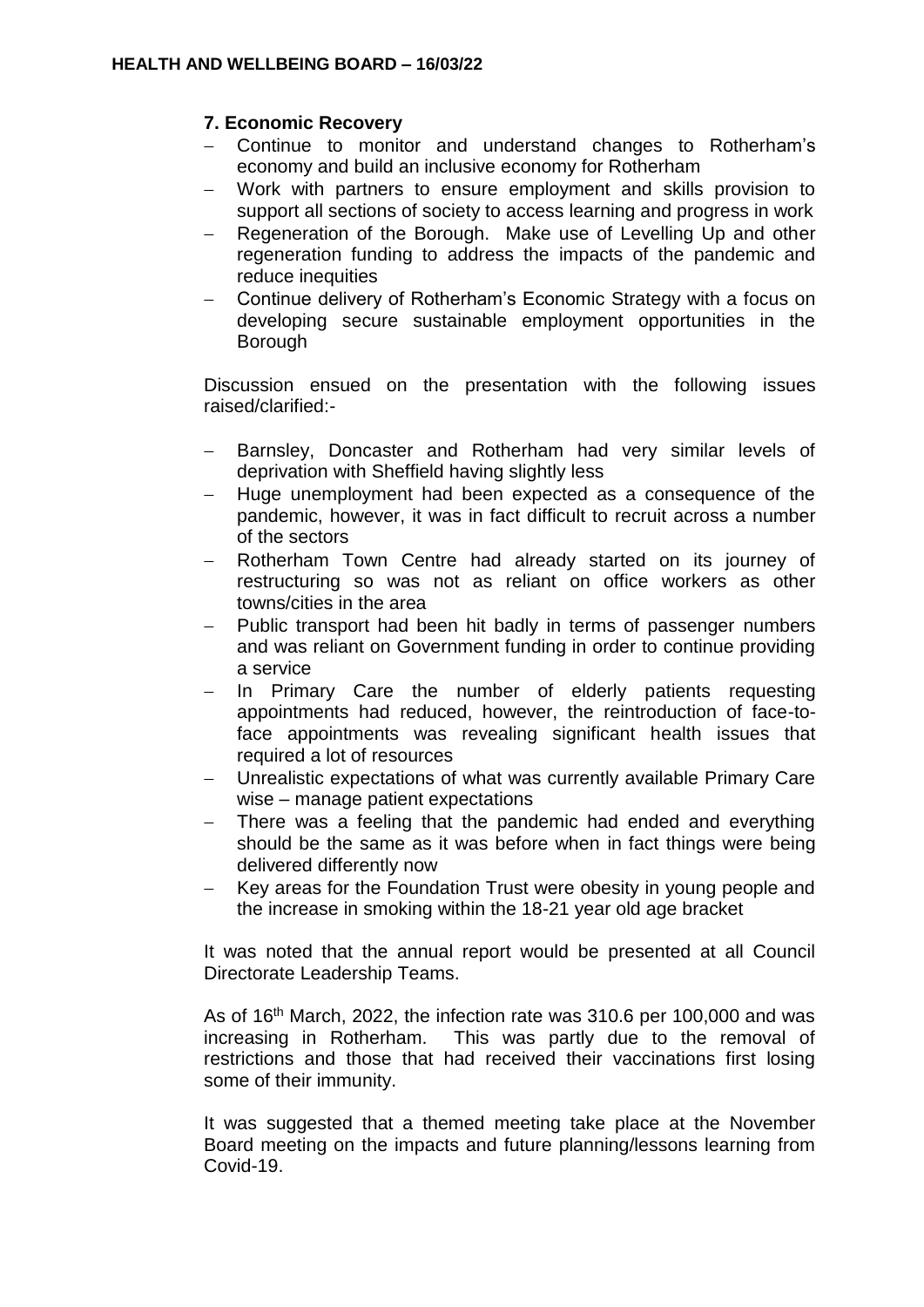# **7. Economic Recovery**

- Continue to monitor and understand changes to Rotherham's economy and build an inclusive economy for Rotherham
- Work with partners to ensure employment and skills provision to support all sections of society to access learning and progress in work
- Regeneration of the Borough. Make use of Levelling Up and other regeneration funding to address the impacts of the pandemic and reduce inequities
- Continue delivery of Rotherham's Economic Strategy with a focus on developing secure sustainable employment opportunities in the Borough

Discussion ensued on the presentation with the following issues raised/clarified:-

- Barnsley, Doncaster and Rotherham had very similar levels of deprivation with Sheffield having slightly less
- Huge unemployment had been expected as a consequence of the pandemic, however, it was in fact difficult to recruit across a number of the sectors
- Rotherham Town Centre had already started on its journey of restructuring so was not as reliant on office workers as other towns/cities in the area
- Public transport had been hit badly in terms of passenger numbers and was reliant on Government funding in order to continue providing a service
- In Primary Care the number of elderly patients requesting appointments had reduced, however, the reintroduction of face-toface appointments was revealing significant health issues that required a lot of resources
- Unrealistic expectations of what was currently available Primary Care wise – manage patient expectations
- There was a feeling that the pandemic had ended and everything should be the same as it was before when in fact things were being delivered differently now
- Key areas for the Foundation Trust were obesity in young people and the increase in smoking within the 18-21 year old age bracket

It was noted that the annual report would be presented at all Council Directorate Leadership Teams.

As of 16th March, 2022, the infection rate was 310.6 per 100,000 and was increasing in Rotherham. This was partly due to the removal of restrictions and those that had received their vaccinations first losing some of their immunity.

It was suggested that a themed meeting take place at the November Board meeting on the impacts and future planning/lessons learning from Covid-19.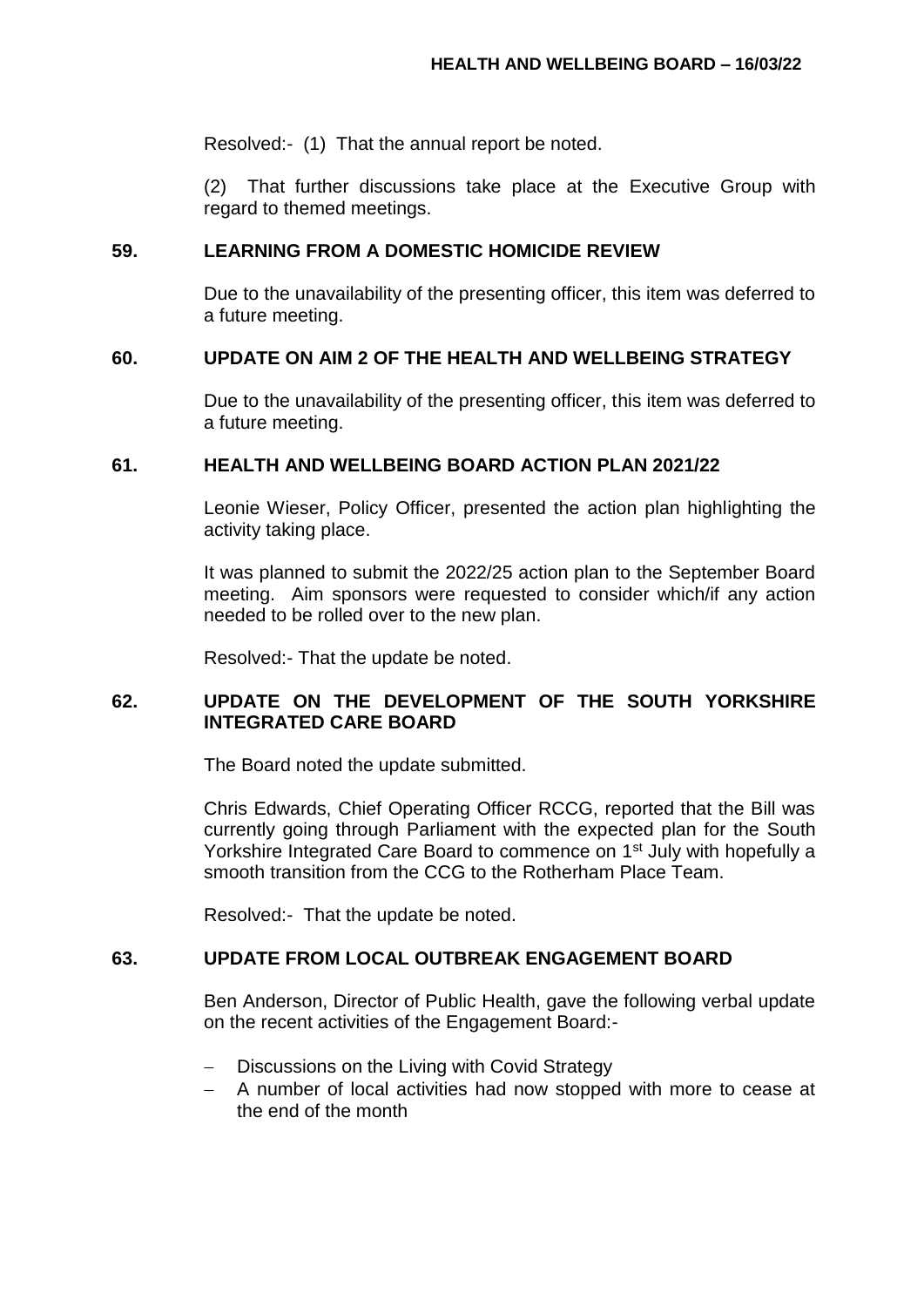Resolved:- (1) That the annual report be noted.

(2) That further discussions take place at the Executive Group with regard to themed meetings.

### **59. LEARNING FROM A DOMESTIC HOMICIDE REVIEW**

Due to the unavailability of the presenting officer, this item was deferred to a future meeting.

### **60. UPDATE ON AIM 2 OF THE HEALTH AND WELLBEING STRATEGY**

Due to the unavailability of the presenting officer, this item was deferred to a future meeting.

### **61. HEALTH AND WELLBEING BOARD ACTION PLAN 2021/22**

Leonie Wieser, Policy Officer, presented the action plan highlighting the activity taking place.

It was planned to submit the 2022/25 action plan to the September Board meeting. Aim sponsors were requested to consider which/if any action needed to be rolled over to the new plan.

Resolved:- That the update be noted.

# **62. UPDATE ON THE DEVELOPMENT OF THE SOUTH YORKSHIRE INTEGRATED CARE BOARD**

The Board noted the update submitted.

Chris Edwards, Chief Operating Officer RCCG, reported that the Bill was currently going through Parliament with the expected plan for the South Yorkshire Integrated Care Board to commence on 1<sup>st</sup> July with hopefully a smooth transition from the CCG to the Rotherham Place Team.

Resolved:- That the update be noted.

# **63. UPDATE FROM LOCAL OUTBREAK ENGAGEMENT BOARD**

Ben Anderson, Director of Public Health, gave the following verbal update on the recent activities of the Engagement Board:-

- Discussions on the Living with Covid Strategy
- A number of local activities had now stopped with more to cease at the end of the month